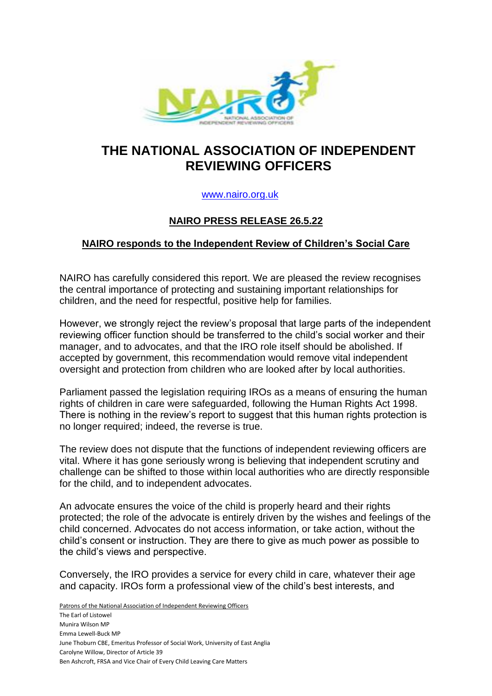

# **THE NATIONAL ASSOCIATION OF INDEPENDENT REVIEWING OFFICERS**

### [www.nairo.org.uk](http://www.nairo.org.uk/)

## **NAIRO PRESS RELEASE 26.5.22**

### **NAIRO responds to the Independent Review of Children's Social Care**

NAIRO has carefully considered this report. We are pleased the review recognises the central importance of protecting and sustaining important relationships for children, and the need for respectful, positive help for families.

However, we strongly reject the review's proposal that large parts of the independent reviewing officer function should be transferred to the child's social worker and their manager, and to advocates, and that the IRO role itself should be abolished. If accepted by government, this recommendation would remove vital independent oversight and protection from children who are looked after by local authorities.

Parliament passed the legislation requiring IROs as a means of ensuring the human rights of children in care were safeguarded, following the Human Rights Act 1998. There is nothing in the review's report to suggest that this human rights protection is no longer required; indeed, the reverse is true.

The review does not dispute that the functions of independent reviewing officers are vital. Where it has gone seriously wrong is believing that independent scrutiny and challenge can be shifted to those within local authorities who are directly responsible for the child, and to independent advocates.

An advocate ensures the voice of the child is properly heard and their rights protected; the role of the advocate is entirely driven by the wishes and feelings of the child concerned. Advocates do not access information, or take action, without the child's consent or instruction. They are there to give as much power as possible to the child's views and perspective.

Conversely, the IRO provides a service for every child in care, whatever their age and capacity. IROs form a professional view of the child's best interests, and

Patrons of the National Association of Independent Reviewing Officers The Earl of Listowel Munira Wilson MP Emma Lewell-Buck MP June Thoburn CBE, Emeritus Professor of Social Work, University of East Anglia Carolyne Willow, Director of Article 39 Ben Ashcroft, FRSA and Vice Chair of Every Child Leaving Care Matters